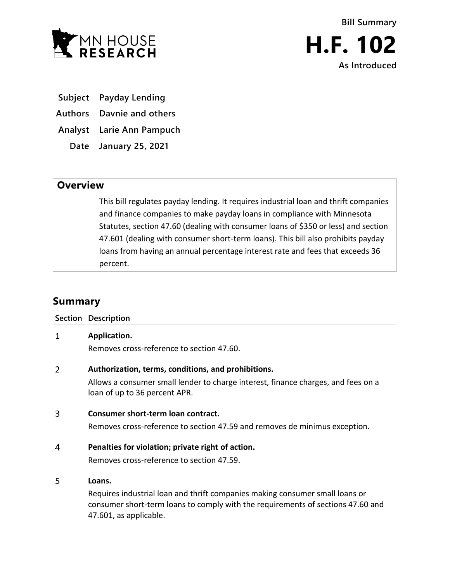

**Subject Payday Lending**

**Authors Davnie and others**

**Analyst Larie Ann Pampuch**

**Date January 25, 2021**

## **Overview**

This bill regulates payday lending. It requires industrial loan and thrift companies and finance companies to make payday loans in compliance with Minnesota Statutes, section 47.60 (dealing with consumer loans of \$350 or less) and section 47.601 (dealing with consumer short-term loans). This bill also prohibits payday loans from having an annual percentage interest rate and fees that exceeds 36 percent.

# **Summary**

**Section Description**

#### $\mathbf{1}$ **Application.**

Removes cross-reference to section 47.60.

#### $\overline{2}$ **Authorization, terms, conditions, and prohibitions.**

Allows a consumer small lender to charge interest, finance charges, and fees on a loan of up to 36 percent APR.

#### $\overline{3}$ **Consumer short-term loan contract.**

Removes cross-reference to section 47.59 and removes de minimus exception.

#### $\overline{4}$ **Penalties for violation; private right of action.**

Removes cross-reference to section 47.59.

#### 5 **Loans.**

Requires industrial loan and thrift companies making consumer small loans or consumer short-term loans to comply with the requirements of sections 47.60 and 47.601, as applicable.